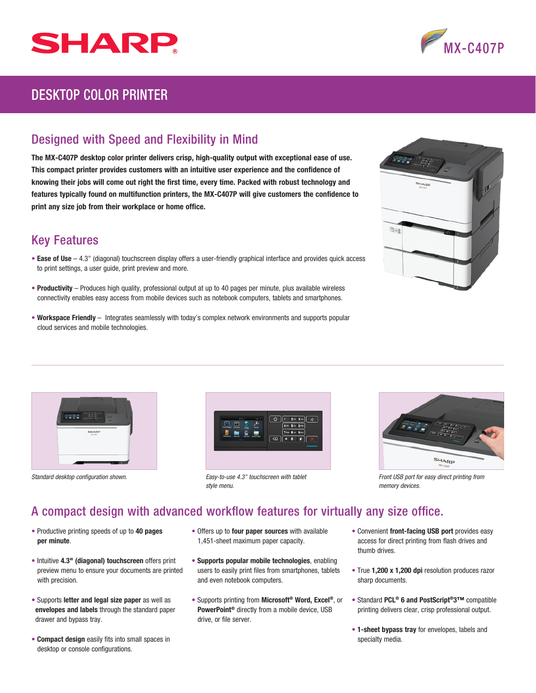



## DESKTOP COLOR PRINTER

## Designed with Speed and Flexibility in Mind

The MX-C407P desktop color printer delivers crisp, high-quality output with exceptional ease of use. This compact printer provides customers with an intuitive user experience and the confidence of knowing their jobs will come out right the first time, every time. Packed with robust technology and features typically found on multifunction printers, the MX-C407P will give customers the confidence to print any size job from their workplace or home office.

## Key Features

- Ease of Use  $-4.3$ " (diagonal) touchscreen display offers a user-friendly graphical interface and provides quick access to print settings, a user guide, print preview and more.
- Productivity Produces high quality, professional output at up to 40 pages per minute, plus available wireless connectivity enables easy access from mobile devices such as notebook computers, tablets and smartphones.
- Workspace Friendly Integrates seamlessly with today's complex network environments and supports popular cloud services and mobile technologies.

|              | SHARP<br><b>Worker</b> |         |  |
|--------------|------------------------|---------|--|
| $\mathbb{R}$ |                        | a,<br>п |  |
|              |                        | Þ       |  |





Standard desktop configuration shown. **From** *Front USB port for easy-to-use 4.3" for touchscreen with tablet* **Front USB port for easy direct printing from** *Easy-to-use 4.3" touchscreen with tablet style menu.*



*memory devices.*

## A compact design with advanced workflow features for virtually any size office.

- Productive printing speeds of up to 40 pages per minute.
- Intuitive 4.3" (diagonal) touchscreen offers print preview menu to ensure your documents are printed with precision.
- Supports letter and legal size paper as well as envelopes and labels through the standard paper drawer and bypass tray.
- Compact design easily fits into small spaces in desktop or console configurations.
- Offers up to four paper sources with available 1,451-sheet maximum paper capacity.
- Supports popular mobile technologies, enabling users to easily print files from smartphones, tablets and even notebook computers.
- Supports printing from Microsoft® Word, Excel®, or PowerPoint® directly from a mobile device, USB drive, or file server.
- Convenient front-facing USB port provides easy access for direct printing from flash drives and thumb drives.
- True 1,200 x 1,200 dpi resolution produces razor sharp documents.
- Standard PCL® 6 and PostScript®3™ compatible printing delivers clear, crisp professional output.
- 1-sheet bypass tray for envelopes, labels and specialty media.